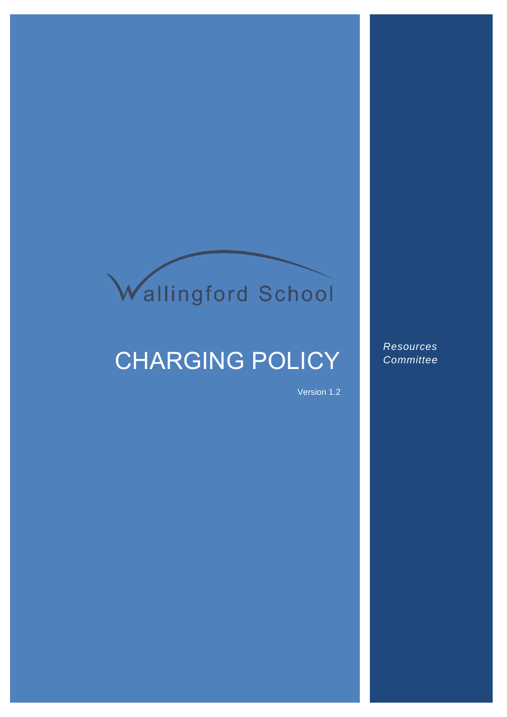# Wallingford School

# CHARGING POLICY

Version 1.2

*Resources Committee*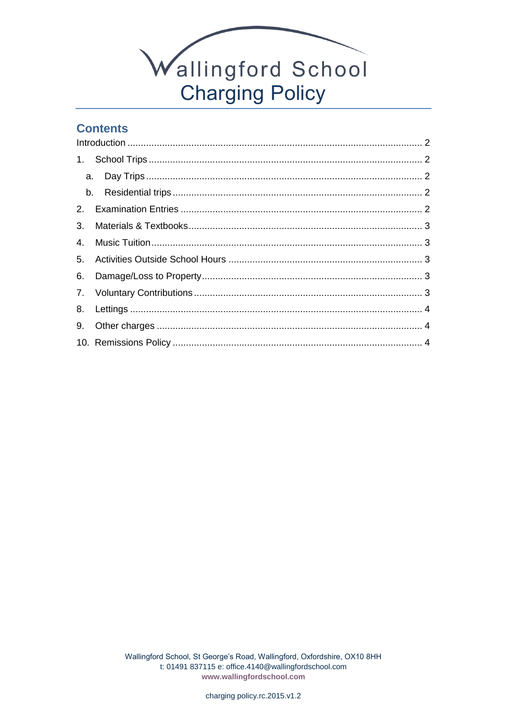

# **Contents**

| 3. |  |  |
|----|--|--|
|    |  |  |
|    |  |  |
|    |  |  |
|    |  |  |
|    |  |  |
|    |  |  |
|    |  |  |
|    |  |  |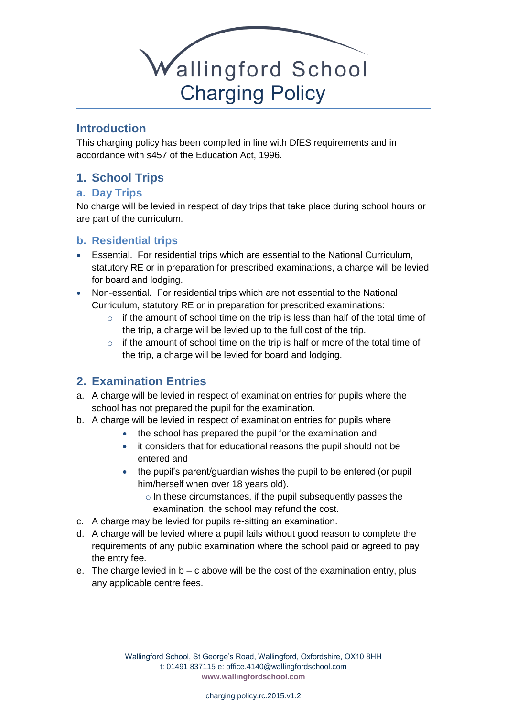

#### <span id="page-2-0"></span>**Introduction**

This charging policy has been compiled in line with DfES requirements and in accordance with s457 of the Education Act, 1996.

# <span id="page-2-1"></span>**1. School Trips**

#### <span id="page-2-2"></span>**a. Day Trips**

No charge will be levied in respect of day trips that take place during school hours or are part of the curriculum.

#### <span id="page-2-3"></span>**b. Residential trips**

- Essential. For residential trips which are essential to the National Curriculum, statutory RE or in preparation for prescribed examinations, a charge will be levied for board and lodging.
- Non-essential. For residential trips which are not essential to the National Curriculum, statutory RE or in preparation for prescribed examinations:
	- $\circ$  if the amount of school time on the trip is less than half of the total time of the trip, a charge will be levied up to the full cost of the trip.
	- $\circ$  if the amount of school time on the trip is half or more of the total time of the trip, a charge will be levied for board and lodging.

# <span id="page-2-4"></span>**2. Examination Entries**

- a. A charge will be levied in respect of examination entries for pupils where the school has not prepared the pupil for the examination.
- b. A charge will be levied in respect of examination entries for pupils where
	- the school has prepared the pupil for the examination and
	- it considers that for educational reasons the pupil should not be entered and
	- the pupil's parent/guardian wishes the pupil to be entered (or pupil him/herself when over 18 years old).
		- o In these circumstances, if the pupil subsequently passes the examination, the school may refund the cost.
- c. A charge may be levied for pupils re-sitting an examination.
- d. A charge will be levied where a pupil fails without good reason to complete the requirements of any public examination where the school paid or agreed to pay the entry fee.
- e. The charge levied in  $b c$  above will be the cost of the examination entry, plus any applicable centre fees.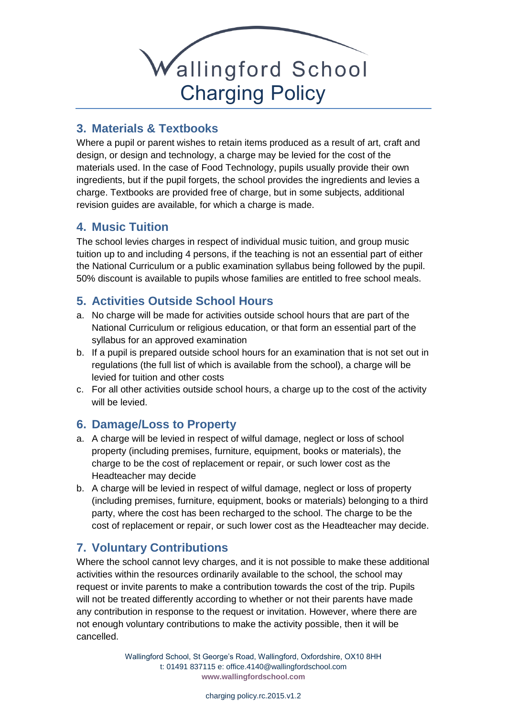

# <span id="page-3-0"></span>**3. Materials & Textbooks**

Where a pupil or parent wishes to retain items produced as a result of art, craft and design, or design and technology, a charge may be levied for the cost of the materials used. In the case of Food Technology, pupils usually provide their own ingredients, but if the pupil forgets, the school provides the ingredients and levies a charge. Textbooks are provided free of charge, but in some subjects, additional revision guides are available, for which a charge is made.

#### <span id="page-3-1"></span>**4. Music Tuition**

The school levies charges in respect of individual music tuition, and group music tuition up to and including 4 persons, if the teaching is not an essential part of either the National Curriculum or a public examination syllabus being followed by the pupil. 50% discount is available to pupils whose families are entitled to free school meals.

#### <span id="page-3-2"></span>**5. Activities Outside School Hours**

- a. No charge will be made for activities outside school hours that are part of the National Curriculum or religious education, or that form an essential part of the syllabus for an approved examination
- b. If a pupil is prepared outside school hours for an examination that is not set out in regulations (the full list of which is available from the school), a charge will be levied for tuition and other costs
- c. For all other activities outside school hours, a charge up to the cost of the activity will be levied.

#### <span id="page-3-3"></span>**6. Damage/Loss to Property**

- a. A charge will be levied in respect of wilful damage, neglect or loss of school property (including premises, furniture, equipment, books or materials), the charge to be the cost of replacement or repair, or such lower cost as the Headteacher may decide
- b. A charge will be levied in respect of wilful damage, neglect or loss of property (including premises, furniture, equipment, books or materials) belonging to a third party, where the cost has been recharged to the school. The charge to be the cost of replacement or repair, or such lower cost as the Headteacher may decide.

# <span id="page-3-4"></span>**7. Voluntary Contributions**

Where the school cannot levy charges, and it is not possible to make these additional activities within the resources ordinarily available to the school, the school may request or invite parents to make a contribution towards the cost of the trip. Pupils will not be treated differently according to whether or not their parents have made any contribution in response to the request or invitation. However, where there are not enough voluntary contributions to make the activity possible, then it will be cancelled.

> Wallingford School, St George's Road, Wallingford, Oxfordshire, OX10 8HH t: 01491 837115 e: office.4140@wallingfordschool.com **[www.wallingfordschool.com](http://www.wallingfordschool.com/)**